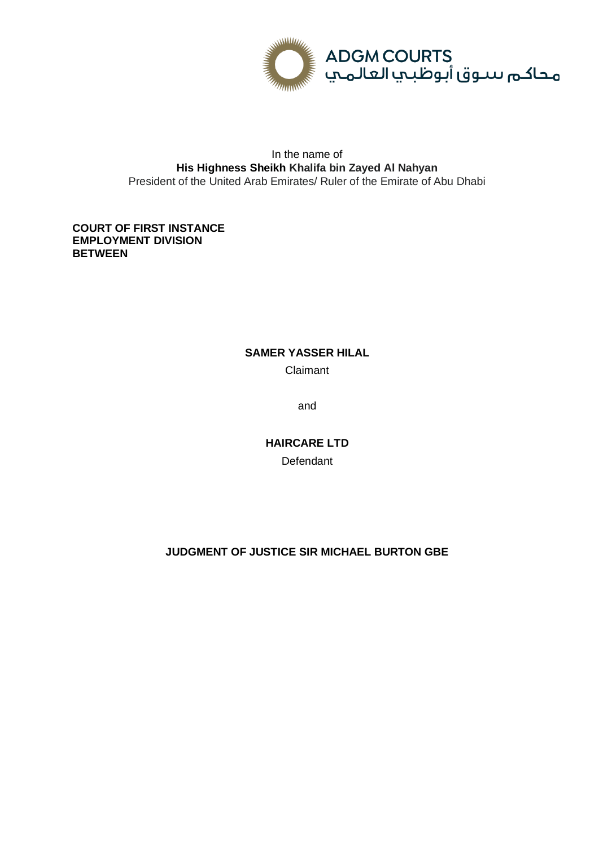

# In the name of **His Highness Sheikh Khalifa bin Zayed Al Nahyan** President of the United Arab Emirates/ Ruler of the Emirate of Abu Dhabi

# **COURT OF FIRST INSTANCE EMPLOYMENT DIVISION BETWEEN**

# **SAMER YASSER HILAL** Claimant

and

**HAIRCARE LTD Defendant** 

# **JUDGMENT OF JUSTICE SIR MICHAEL BURTON GBE**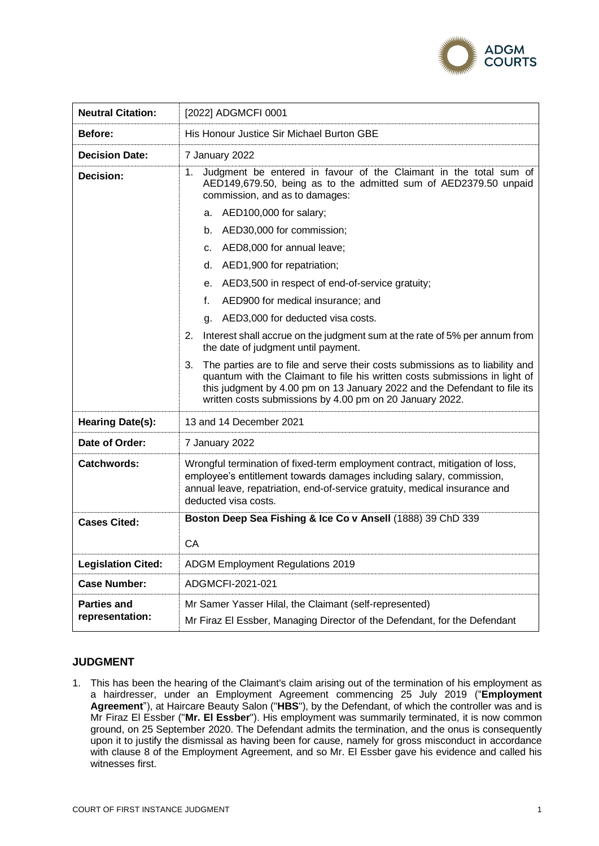

| <b>Neutral Citation:</b>              | [2022] ADGMCFI 0001                                                                                                                                                                                                                                                                                                                                                                                                                                                                                                                                                                                                                                                                                                                                                                                                                                                                             |
|---------------------------------------|-------------------------------------------------------------------------------------------------------------------------------------------------------------------------------------------------------------------------------------------------------------------------------------------------------------------------------------------------------------------------------------------------------------------------------------------------------------------------------------------------------------------------------------------------------------------------------------------------------------------------------------------------------------------------------------------------------------------------------------------------------------------------------------------------------------------------------------------------------------------------------------------------|
| Before:                               | His Honour Justice Sir Michael Burton GBE                                                                                                                                                                                                                                                                                                                                                                                                                                                                                                                                                                                                                                                                                                                                                                                                                                                       |
| <b>Decision Date:</b>                 | 7 January 2022                                                                                                                                                                                                                                                                                                                                                                                                                                                                                                                                                                                                                                                                                                                                                                                                                                                                                  |
| Decision:                             | Judgment be entered in favour of the Claimant in the total sum of<br>1.<br>AED149,679.50, being as to the admitted sum of AED2379.50 unpaid<br>commission, and as to damages:<br>a. AED100,000 for salary;<br>b. AED30,000 for commission;<br>c. AED8,000 for annual leave;<br>d. AED1,900 for repatriation;<br>e. AED3,500 in respect of end-of-service gratuity;<br>f.<br>AED900 for medical insurance; and<br>AED3,000 for deducted visa costs.<br>a.<br>2. Interest shall accrue on the judgment sum at the rate of 5% per annum from<br>the date of judgment until payment.<br>The parties are to file and serve their costs submissions as to liability and<br>3.<br>quantum with the Claimant to file his written costs submissions in light of<br>this judgment by 4.00 pm on 13 January 2022 and the Defendant to file its<br>written costs submissions by 4.00 pm on 20 January 2022. |
| Hearing Date(s):                      | 13 and 14 December 2021                                                                                                                                                                                                                                                                                                                                                                                                                                                                                                                                                                                                                                                                                                                                                                                                                                                                         |
| Date of Order:                        | 7 January 2022                                                                                                                                                                                                                                                                                                                                                                                                                                                                                                                                                                                                                                                                                                                                                                                                                                                                                  |
| <b>Catchwords:</b>                    | Wrongful termination of fixed-term employment contract, mitigation of loss,<br>employee's entitlement towards damages including salary, commission,<br>annual leave, repatriation, end-of-service gratuity, medical insurance and<br>deducted visa costs.                                                                                                                                                                                                                                                                                                                                                                                                                                                                                                                                                                                                                                       |
| <b>Cases Cited:</b>                   | Boston Deep Sea Fishing & Ice Co v Ansell (1888) 39 ChD 339<br>СA                                                                                                                                                                                                                                                                                                                                                                                                                                                                                                                                                                                                                                                                                                                                                                                                                               |
| <b>Legislation Cited:</b>             | ADGM Employment Regulations 2019                                                                                                                                                                                                                                                                                                                                                                                                                                                                                                                                                                                                                                                                                                                                                                                                                                                                |
| <b>Case Number:</b>                   | ADGMCFI-2021-021                                                                                                                                                                                                                                                                                                                                                                                                                                                                                                                                                                                                                                                                                                                                                                                                                                                                                |
| <b>Parties and</b><br>representation: | Mr Samer Yasser Hilal, the Claimant (self-represented)<br>Mr Firaz El Essber, Managing Director of the Defendant, for the Defendant                                                                                                                                                                                                                                                                                                                                                                                                                                                                                                                                                                                                                                                                                                                                                             |

# **JUDGMENT**

1. This has been the hearing of the Claimant's claim arising out of the termination of his employment as a hairdresser, under an Employment Agreement commencing 25 July 2019 ("**Employment Agreement**"), at Haircare Beauty Salon ("**HBS**"), by the Defendant, of which the controller was and is Mr Firaz El Essber ("**Mr. El Essber**"). His employment was summarily terminated, it is now common ground, on 25 September 2020. The Defendant admits the termination, and the onus is consequently upon it to justify the dismissal as having been for cause, namely for gross misconduct in accordance with clause 8 of the Employment Agreement, and so Mr. El Essber gave his evidence and called his witnesses first.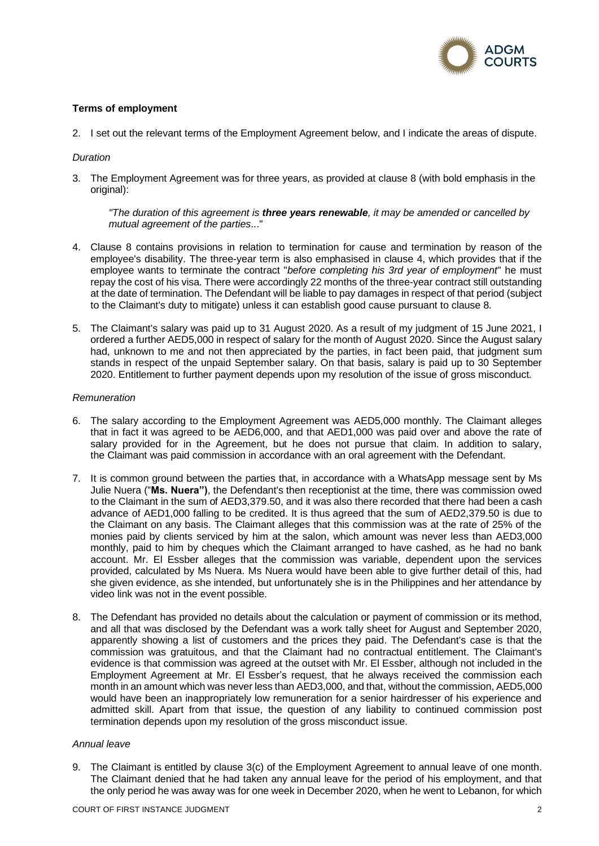

# **Terms of employment**

2. I set out the relevant terms of the Employment Agreement below, and I indicate the areas of dispute.

### *Duration*

3. The Employment Agreement was for three years, as provided at clause 8 (with bold emphasis in the original):

*"The duration of this agreement is three years renewable, it may be amended or cancelled by mutual agreement of the parties*..."

- 4. Clause 8 contains provisions in relation to termination for cause and termination by reason of the employee's disability. The three-year term is also emphasised in clause 4, which provides that if the employee wants to terminate the contract "*before completing his 3rd year of employment*" he must repay the cost of his visa. There were accordingly 22 months of the three-year contract still outstanding at the date of termination. The Defendant will be liable to pay damages in respect of that period (subject to the Claimant's duty to mitigate) unless it can establish good cause pursuant to clause 8.
- 5. The Claimant's salary was paid up to 31 August 2020. As a result of my judgment of 15 June 2021, I ordered a further AED5,000 in respect of salary for the month of August 2020. Since the August salary had, unknown to me and not then appreciated by the parties, in fact been paid, that judgment sum stands in respect of the unpaid September salary. On that basis, salary is paid up to 30 September 2020. Entitlement to further payment depends upon my resolution of the issue of gross misconduct.

### *Remuneration*

- 6. The salary according to the Employment Agreement was AED5,000 monthly. The Claimant alleges that in fact it was agreed to be AED6,000, and that AED1,000 was paid over and above the rate of salary provided for in the Agreement, but he does not pursue that claim. In addition to salary, the Claimant was paid commission in accordance with an oral agreement with the Defendant.
- 7. It is common ground between the parties that, in accordance with a WhatsApp message sent by Ms Julie Nuera ("**Ms. Nuera")**, the Defendant's then receptionist at the time, there was commission owed to the Claimant in the sum of AED3,379.50, and it was also there recorded that there had been a cash advance of AED1,000 falling to be credited. It is thus agreed that the sum of AED2,379.50 is due to the Claimant on any basis. The Claimant alleges that this commission was at the rate of 25% of the monies paid by clients serviced by him at the salon, which amount was never less than AED3,000 monthly, paid to him by cheques which the Claimant arranged to have cashed, as he had no bank account. Mr. El Essber alleges that the commission was variable, dependent upon the services provided, calculated by Ms Nuera. Ms Nuera would have been able to give further detail of this, had she given evidence, as she intended, but unfortunately she is in the Philippines and her attendance by video link was not in the event possible.
- 8. The Defendant has provided no details about the calculation or payment of commission or its method, and all that was disclosed by the Defendant was a work tally sheet for August and September 2020, apparently showing a list of customers and the prices they paid. The Defendant's case is that the commission was gratuitous, and that the Claimant had no contractual entitlement. The Claimant's evidence is that commission was agreed at the outset with Mr. El Essber, although not included in the Employment Agreement at Mr. El Essber's request, that he always received the commission each month in an amount which was never less than AED3,000, and that, without the commission, AED5,000 would have been an inappropriately low remuneration for a senior hairdresser of his experience and admitted skill. Apart from that issue, the question of any liability to continued commission post termination depends upon my resolution of the gross misconduct issue.

#### *Annual leave*

9. The Claimant is entitled by clause 3(c) of the Employment Agreement to annual leave of one month. The Claimant denied that he had taken any annual leave for the period of his employment, and that the only period he was away was for one week in December 2020, when he went to Lebanon, for which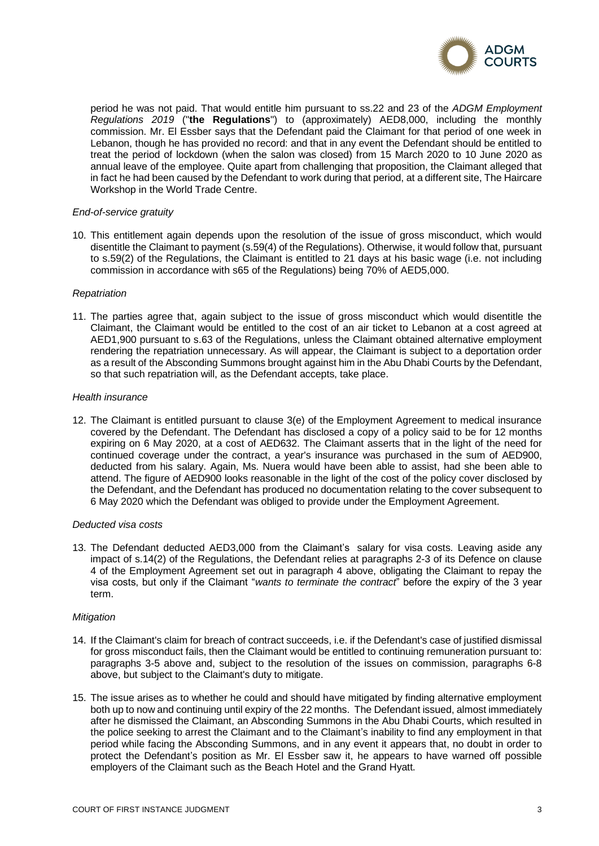

period he was not paid. That would entitle him pursuant to ss.22 and 23 of the *ADGM Employment Regulations 2019* ("**the Regulations**") to (approximately) AED8,000, including the monthly commission. Mr. El Essber says that the Defendant paid the Claimant for that period of one week in Lebanon, though he has provided no record: and that in any event the Defendant should be entitled to treat the period of lockdown (when the salon was closed) from 15 March 2020 to 10 June 2020 as annual leave of the employee. Quite apart from challenging that proposition, the Claimant alleged that in fact he had been caused by the Defendant to work during that period, at a different site, The Haircare Workshop in the World Trade Centre.

### *End-of-service gratuity*

10. This entitlement again depends upon the resolution of the issue of gross misconduct, which would disentitle the Claimant to payment (s.59(4) of the Regulations). Otherwise, it would follow that, pursuant to s.59(2) of the Regulations, the Claimant is entitled to 21 days at his basic wage (i.e. not including commission in accordance with s65 of the Regulations) being 70% of AED5,000.

## *Repatriation*

11. The parties agree that, again subject to the issue of gross misconduct which would disentitle the Claimant, the Claimant would be entitled to the cost of an air ticket to Lebanon at a cost agreed at AED1,900 pursuant to s.63 of the Regulations, unless the Claimant obtained alternative employment rendering the repatriation unnecessary. As will appear, the Claimant is subject to a deportation order as a result of the Absconding Summons brought against him in the Abu Dhabi Courts by the Defendant, so that such repatriation will, as the Defendant accepts, take place.

### *Health insurance*

12. The Claimant is entitled pursuant to clause 3(e) of the Employment Agreement to medical insurance covered by the Defendant. The Defendant has disclosed a copy of a policy said to be for 12 months expiring on 6 May 2020, at a cost of AED632. The Claimant asserts that in the light of the need for continued coverage under the contract, a year's insurance was purchased in the sum of AED900, deducted from his salary. Again, Ms. Nuera would have been able to assist, had she been able to attend. The figure of AED900 looks reasonable in the light of the cost of the policy cover disclosed by the Defendant, and the Defendant has produced no documentation relating to the cover subsequent to 6 May 2020 which the Defendant was obliged to provide under the Employment Agreement.

### *Deducted visa costs*

13. The Defendant deducted AED3,000 from the Claimant's salary for visa costs. Leaving aside any impact of s.14(2) of the Regulations, the Defendant relies at paragraphs 2-3 of its Defence on clause 4 of the Employment Agreement set out in paragraph 4 above, obligating the Claimant to repay the visa costs, but only if the Claimant "*wants to terminate the contract*" before the expiry of the 3 year term.

# *Mitigation*

- 14. If the Claimant's claim for breach of contract succeeds, i.e. if the Defendant's case of justified dismissal for gross misconduct fails, then the Claimant would be entitled to continuing remuneration pursuant to: paragraphs 3-5 above and, subject to the resolution of the issues on commission, paragraphs 6-8 above, but subject to the Claimant's duty to mitigate.
- 15. The issue arises as to whether he could and should have mitigated by finding alternative employment both up to now and continuing until expiry of the 22 months. The Defendant issued, almost immediately after he dismissed the Claimant, an Absconding Summons in the Abu Dhabi Courts, which resulted in the police seeking to arrest the Claimant and to the Claimant's inability to find any employment in that period while facing the Absconding Summons, and in any event it appears that, no doubt in order to protect the Defendant's position as Mr. El Essber saw it, he appears to have warned off possible employers of the Claimant such as the Beach Hotel and the Grand Hyatt.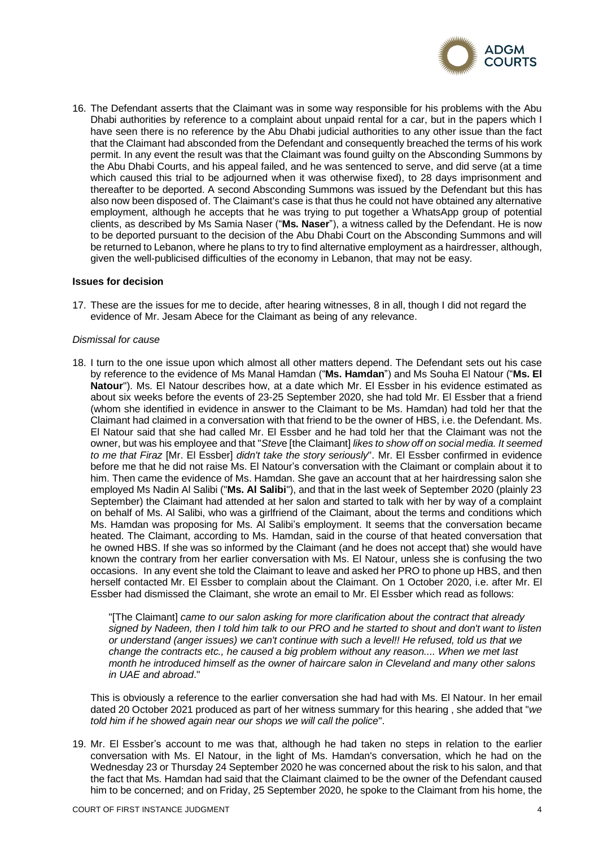

16. The Defendant asserts that the Claimant was in some way responsible for his problems with the Abu Dhabi authorities by reference to a complaint about unpaid rental for a car, but in the papers which I have seen there is no reference by the Abu Dhabi judicial authorities to any other issue than the fact that the Claimant had absconded from the Defendant and consequently breached the terms of his work permit. In any event the result was that the Claimant was found guilty on the Absconding Summons by the Abu Dhabi Courts, and his appeal failed, and he was sentenced to serve, and did serve (at a time which caused this trial to be adjourned when it was otherwise fixed), to 28 days imprisonment and thereafter to be deported. A second Absconding Summons was issued by the Defendant but this has also now been disposed of. The Claimant's case is that thus he could not have obtained any alternative employment, although he accepts that he was trying to put together a WhatsApp group of potential clients, as described by Ms Samia Naser ("**Ms. Naser**"), a witness called by the Defendant. He is now to be deported pursuant to the decision of the Abu Dhabi Court on the Absconding Summons and will be returned to Lebanon, where he plans to try to find alternative employment as a hairdresser, although, given the well-publicised difficulties of the economy in Lebanon, that may not be easy.

### **Issues for decision**

17. These are the issues for me to decide, after hearing witnesses, 8 in all, though I did not regard the evidence of Mr. Jesam Abece for the Claimant as being of any relevance.

#### *Dismissal for cause*

18. I turn to the one issue upon which almost all other matters depend. The Defendant sets out his case by reference to the evidence of Ms Manal Hamdan ("**Ms. Hamdan**") and Ms Souha El Natour ("**Ms. El Natour**"). Ms. El Natour describes how, at a date which Mr. El Essber in his evidence estimated as about six weeks before the events of 23-25 September 2020, she had told Mr. El Essber that a friend (whom she identified in evidence in answer to the Claimant to be Ms. Hamdan) had told her that the Claimant had claimed in a conversation with that friend to be the owner of HBS, i.e. the Defendant. Ms. El Natour said that she had called Mr. El Essber and he had told her that the Claimant was not the owner, but was his employee and that "*Stev*e [the Claimant] *likes to show off on social media. It seemed to me that Firaz* [Mr. El Essber] *didn't take the story seriously*". Mr. El Essber confirmed in evidence before me that he did not raise Ms. El Natour's conversation with the Claimant or complain about it to him. Then came the evidence of Ms. Hamdan. She gave an account that at her hairdressing salon she employed Ms Nadin Al Salibi ("**Ms. Al Salibi**"), and that in the last week of September 2020 (plainly 23 September) the Claimant had attended at her salon and started to talk with her by way of a complaint on behalf of Ms. Al Salibi, who was a girlfriend of the Claimant, about the terms and conditions which Ms. Hamdan was proposing for Ms. Al Salibi's employment. It seems that the conversation became heated. The Claimant, according to Ms. Hamdan, said in the course of that heated conversation that he owned HBS. If she was so informed by the Claimant (and he does not accept that) she would have known the contrary from her earlier conversation with Ms. El Natour, unless she is confusing the two occasions. In any event she told the Claimant to leave and asked her PRO to phone up HBS, and then herself contacted Mr. El Essber to complain about the Claimant. On 1 October 2020, i.e. after Mr. El Essber had dismissed the Claimant, she wrote an email to Mr. El Essber which read as follows:

"[The Claimant] *came to our salon asking for more clarification about the contract that already signed by Nadeen, then I told him talk to our PRO and he started to shout and don't want to listen or understand (anger issues) we can't continue with such a level!! He refused, told us that we change the contracts etc., he caused a big problem without any reason.... When we met last month he introduced himself as the owner of haircare salon in Cleveland and many other salons in UAE and abroad*."

This is obviously a reference to the earlier conversation she had had with Ms. El Natour. In her email dated 20 October 2021 produced as part of her witness summary for this hearing , she added that "*we told him if he showed again near our shops we will call the police*".

19. Mr. El Essber's account to me was that, although he had taken no steps in relation to the earlier conversation with Ms. El Natour, in the light of Ms. Hamdan's conversation, which he had on the Wednesday 23 or Thursday 24 September 2020 he was concerned about the risk to his salon, and that the fact that Ms. Hamdan had said that the Claimant claimed to be the owner of the Defendant caused him to be concerned; and on Friday, 25 September 2020, he spoke to the Claimant from his home, the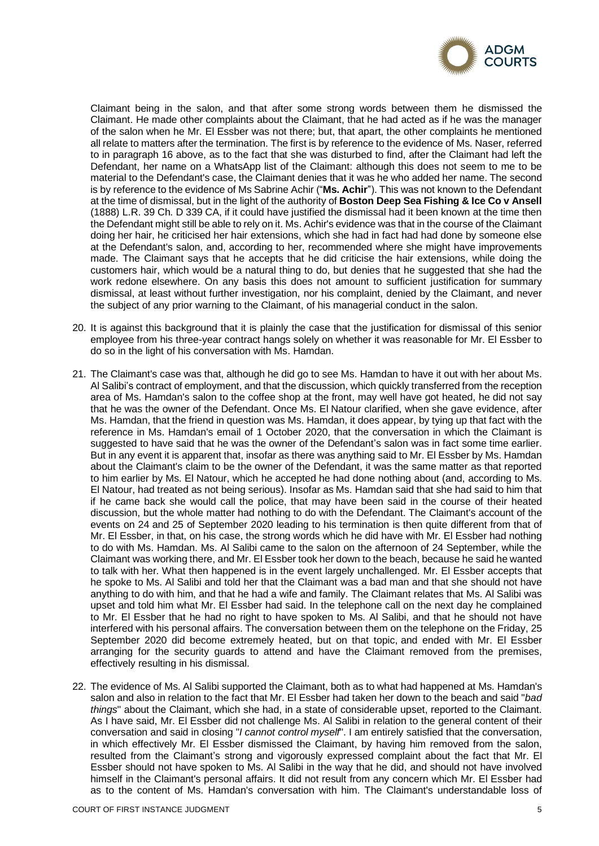

Claimant being in the salon, and that after some strong words between them he dismissed the Claimant. He made other complaints about the Claimant, that he had acted as if he was the manager of the salon when he Mr. El Essber was not there; but, that apart, the other complaints he mentioned all relate to matters after the termination. The first is by reference to the evidence of Ms. Naser, referred to in paragraph 16 above, as to the fact that she was disturbed to find, after the Claimant had left the Defendant, her name on a WhatsApp list of the Claimant: although this does not seem to me to be material to the Defendant's case, the Claimant denies that it was he who added her name. The second is by reference to the evidence of Ms Sabrine Achir ("**Ms. Achir**"). This was not known to the Defendant at the time of dismissal, but in the light of the authority of **Boston Deep Sea Fishing & Ice Co v Ansell** (1888) L.R. 39 Ch. D 339 CA, if it could have justified the dismissal had it been known at the time then the Defendant might still be able to rely on it. Ms. Achir's evidence was that in the course of the Claimant doing her hair, he criticised her hair extensions, which she had in fact had had done by someone else at the Defendant's salon, and, according to her, recommended where she might have improvements made. The Claimant says that he accepts that he did criticise the hair extensions, while doing the customers hair, which would be a natural thing to do, but denies that he suggested that she had the work redone elsewhere. On any basis this does not amount to sufficient justification for summary dismissal, at least without further investigation, nor his complaint, denied by the Claimant, and never the subject of any prior warning to the Claimant, of his managerial conduct in the salon.

- 20. It is against this background that it is plainly the case that the justification for dismissal of this senior employee from his three-year contract hangs solely on whether it was reasonable for Mr. El Essber to do so in the light of his conversation with Ms. Hamdan.
- 21. The Claimant's case was that, although he did go to see Ms. Hamdan to have it out with her about Ms. Al Salibi's contract of employment, and that the discussion, which quickly transferred from the reception area of Ms. Hamdan's salon to the coffee shop at the front, may well have got heated, he did not say that he was the owner of the Defendant. Once Ms. El Natour clarified, when she gave evidence, after Ms. Hamdan, that the friend in question was Ms. Hamdan, it does appear, by tying up that fact with the reference in Ms. Hamdan's email of 1 October 2020, that the conversation in which the Claimant is suggested to have said that he was the owner of the Defendant's salon was in fact some time earlier. But in any event it is apparent that, insofar as there was anything said to Mr. El Essber by Ms. Hamdan about the Claimant's claim to be the owner of the Defendant, it was the same matter as that reported to him earlier by Ms. El Natour, which he accepted he had done nothing about (and, according to Ms. El Natour, had treated as not being serious). Insofar as Ms. Hamdan said that she had said to him that if he came back she would call the police, that may have been said in the course of their heated discussion, but the whole matter had nothing to do with the Defendant. The Claimant's account of the events on 24 and 25 of September 2020 leading to his termination is then quite different from that of Mr. El Essber, in that, on his case, the strong words which he did have with Mr. El Essber had nothing to do with Ms. Hamdan. Ms. Al Salibi came to the salon on the afternoon of 24 September, while the Claimant was working there, and Mr. El Essber took her down to the beach, because he said he wanted to talk with her. What then happened is in the event largely unchallenged. Mr. El Essber accepts that he spoke to Ms. Al Salibi and told her that the Claimant was a bad man and that she should not have anything to do with him, and that he had a wife and family. The Claimant relates that Ms. Al Salibi was upset and told him what Mr. El Essber had said. In the telephone call on the next day he complained to Mr. El Essber that he had no right to have spoken to Ms. Al Salibi, and that he should not have interfered with his personal affairs. The conversation between them on the telephone on the Friday, 25 September 2020 did become extremely heated, but on that topic, and ended with Mr. El Essber arranging for the security guards to attend and have the Claimant removed from the premises, effectively resulting in his dismissal.
- 22. The evidence of Ms. Al Salibi supported the Claimant, both as to what had happened at Ms. Hamdan's salon and also in relation to the fact that Mr. El Essber had taken her down to the beach and said "*bad things*" about the Claimant, which she had, in a state of considerable upset, reported to the Claimant. As I have said, Mr. El Essber did not challenge Ms. Al Salibi in relation to the general content of their conversation and said in closing "*I cannot control myself*". I am entirely satisfied that the conversation, in which effectively Mr. El Essber dismissed the Claimant, by having him removed from the salon, resulted from the Claimant's strong and vigorously expressed complaint about the fact that Mr. El Essber should not have spoken to Ms. Al Salibi in the way that he did, and should not have involved himself in the Claimant's personal affairs. It did not result from any concern which Mr. El Essber had as to the content of Ms. Hamdan's conversation with him. The Claimant's understandable loss of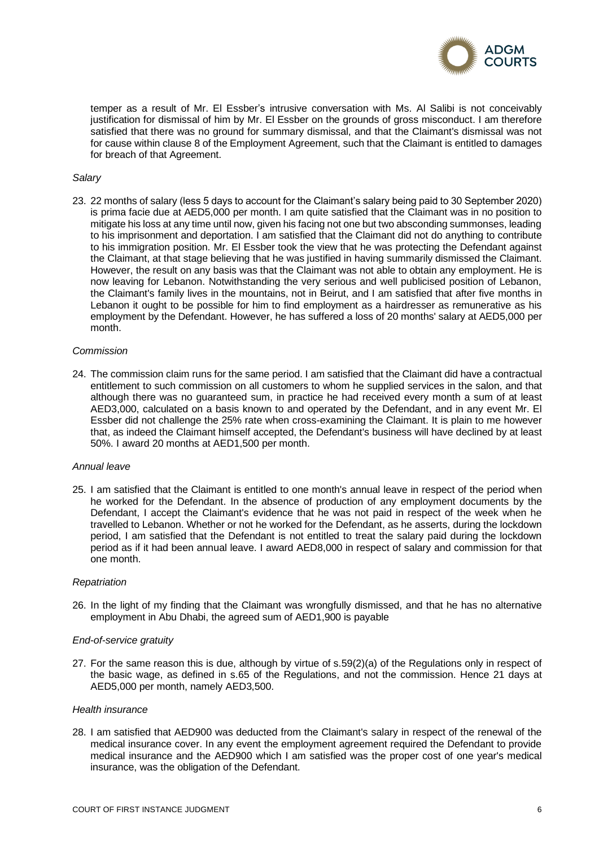

temper as a result of Mr. El Essber's intrusive conversation with Ms. Al Salibi is not conceivably justification for dismissal of him by Mr. El Essber on the grounds of gross misconduct. I am therefore satisfied that there was no ground for summary dismissal, and that the Claimant's dismissal was not for cause within clause 8 of the Employment Agreement, such that the Claimant is entitled to damages for breach of that Agreement.

## *Salary*

23. 22 months of salary (less 5 days to account for the Claimant's salary being paid to 30 September 2020) is prima facie due at AED5,000 per month. I am quite satisfied that the Claimant was in no position to mitigate his loss at any time until now, given his facing not one but two absconding summonses, leading to his imprisonment and deportation. I am satisfied that the Claimant did not do anything to contribute to his immigration position. Mr. El Essber took the view that he was protecting the Defendant against the Claimant, at that stage believing that he was justified in having summarily dismissed the Claimant. However, the result on any basis was that the Claimant was not able to obtain any employment. He is now leaving for Lebanon. Notwithstanding the very serious and well publicised position of Lebanon, the Claimant's family lives in the mountains, not in Beirut, and I am satisfied that after five months in Lebanon it ought to be possible for him to find employment as a hairdresser as remunerative as his employment by the Defendant. However, he has suffered a loss of 20 months' salary at AED5,000 per month.

### *Commission*

24. The commission claim runs for the same period. I am satisfied that the Claimant did have a contractual entitlement to such commission on all customers to whom he supplied services in the salon, and that although there was no guaranteed sum, in practice he had received every month a sum of at least AED3,000, calculated on a basis known to and operated by the Defendant, and in any event Mr. El Essber did not challenge the 25% rate when cross-examining the Claimant. It is plain to me however that, as indeed the Claimant himself accepted, the Defendant's business will have declined by at least 50%. I award 20 months at AED1,500 per month.

### *Annual leave*

25. I am satisfied that the Claimant is entitled to one month's annual leave in respect of the period when he worked for the Defendant. In the absence of production of any employment documents by the Defendant, I accept the Claimant's evidence that he was not paid in respect of the week when he travelled to Lebanon. Whether or not he worked for the Defendant, as he asserts, during the lockdown period, I am satisfied that the Defendant is not entitled to treat the salary paid during the lockdown period as if it had been annual leave. I award AED8,000 in respect of salary and commission for that one month.

#### *Repatriation*

26. In the light of my finding that the Claimant was wrongfully dismissed, and that he has no alternative employment in Abu Dhabi, the agreed sum of AED1,900 is payable

### *End-of-service gratuity*

27. For the same reason this is due, although by virtue of s.59(2)(a) of the Regulations only in respect of the basic wage, as defined in s.65 of the Regulations, and not the commission. Hence 21 days at AED5,000 per month, namely AED3,500.

#### *Health insurance*

28. I am satisfied that AED900 was deducted from the Claimant's salary in respect of the renewal of the medical insurance cover. In any event the employment agreement required the Defendant to provide medical insurance and the AED900 which I am satisfied was the proper cost of one year's medical insurance, was the obligation of the Defendant.